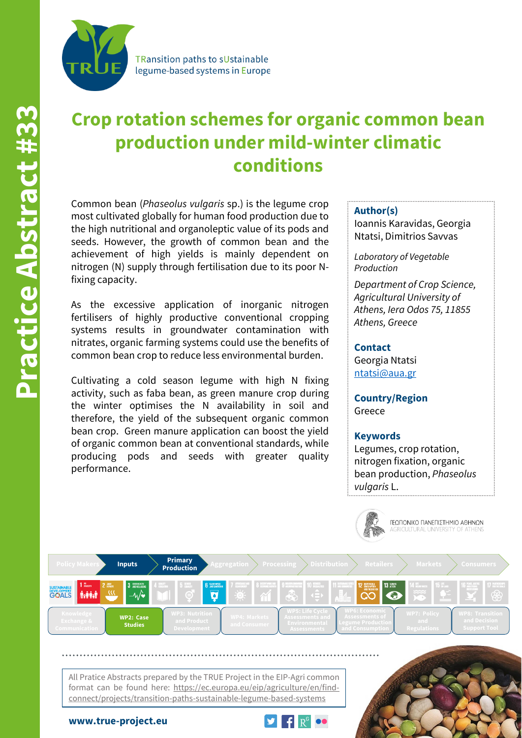

**TRansition paths to sUstainable** legume-based systems in Europe

# **Crop rotation schemes for organic common bean production under mild-winter climatic conditions**

Common bean (*Phaseolus vulgaris* sp.) is the legume crop most cultivated globally for human food production due to the high nutritional and organoleptic value of its pods and seeds. However, the growth of common bean and the achievement of high yields is mainly dependent on nitrogen (N) supply through fertilisation due to its poor Nfixing capacity.

As the excessive application of inorganic nitrogen fertilisers of highly productive conventional cropping systems results in groundwater contamination with nitrates, organic farming systems could use the benefits of common bean crop to reduce less environmental burden.

Cultivating a cold season legume with high N fixing activity, such as faba bean, as green manure crop during the winter optimises the N availability in soil and therefore, the yield of the subsequent organic common bean crop. Green manure application can boost the yield of organic common bean at conventional standards, while producing pods and seeds with greater quality performance.

#### **Author(s)**

Ioannis Karavidas, Georgia Ntatsi, Dimitrios Savvas

*Laboratory of Vegetable Production*

*Department of Crop Science, Agricultural University of Athens, Iera Odos 75, 11855 Athens, Greece*

### **Contact**

Georgia Ntatsi [ntatsi@aua.gr](mailto:ntatsi@aua.gr)

**Country/Region** Greece

## **Keywords**

Legumes, crop rotation, nitrogen fixation, organic bean production, *Phaseolus vulgaris* L.

ΓΕΩΠΟΝΙΚΟ ΠΑΝΕΠΙΣΤΗΜΙΟ ΑΘΗΝΩΝ



All Pratice Abstracts prepared by the TRUE Project in the EIP-Agri common format can be found here: https://ec.europa.eu/eip/agriculture/en/findconnect/projects/transition-paths-sustainable-legume-based-systems



**www.true-project.eu**